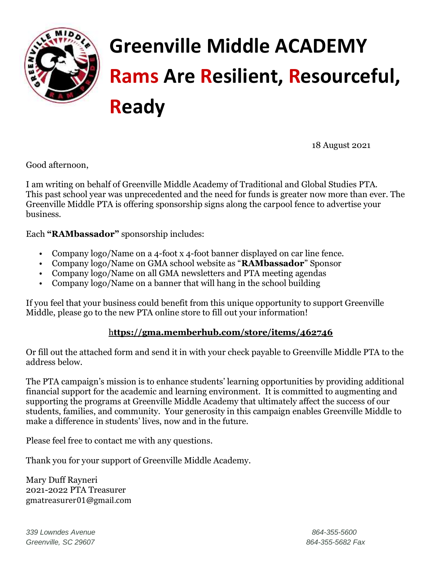

# **Greenville Middle ACADEMY Rams Are Resilient, Resourceful, Ready**

18 August 2021

Good afternoon,

I am writing on behalf of Greenville Middle Academy of Traditional and Global Studies PTA. This past school year was unprecedented and the need for funds is greater now more than ever. The Greenville Middle PTA is offering sponsorship signs along the carpool fence to advertise your business.

Each **"RAMbassador"** sponsorship includes:

- Company logo/Name on a 4-foot x 4-foot banner displayed on car line fence.
- Company logo/Name on GMA school website as "**RAMbassador**" Sponsor
- Company logo/Name on all GMA newsletters and PTA meeting agendas
- Company logo/Name on a banner that will hang in the school building

If you feel that your business could benefit from this unique opportunity to support Greenville Middle, please go to the new PTA online store to fill out your information!

#### h**[ttps://gma.memberhub.com/store/items/462746](https://gma.memberhub.com/store/items/462746)**

Or fill out the attached form and send it in with your check payable to Greenville Middle PTA to the address below.

The PTA campaign's mission is to enhance students' learning opportunities by providing additional financial support for the academic and learning environment. It is committed to augmenting and supporting the programs at Greenville Middle Academy that ultimately affect the success of our students, families, and community. Your generosity in this campaign enables Greenville Middle to make a difference in students' lives, now and in the future.

Please feel free to contact me with any questions.

Thank you for your support of Greenville Middle Academy.

Mary Duff Rayneri 2021-2022 PTA Treasurer gmatreasurer01@gmail.com

*339 Lowndes Avenue 864-355-5600 Greenville, SC 29607 864-355-5682 Fax*